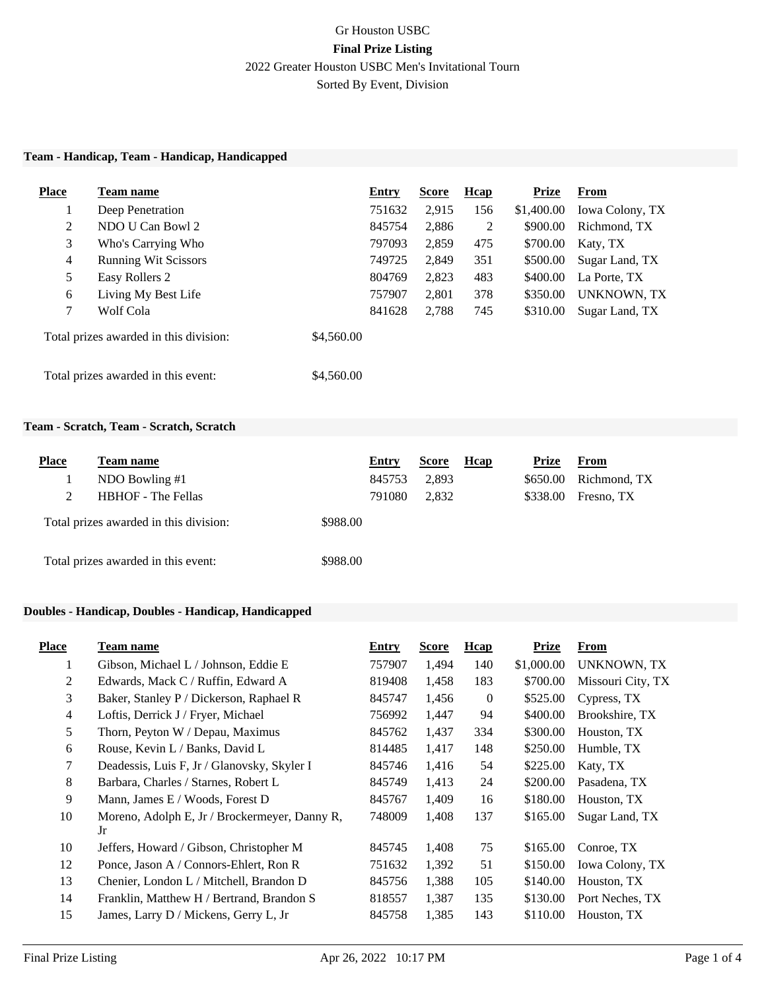# Gr Houston USBC **Final Prize Listing** 2022 Greater Houston USBC Men's Invitational Tourn Sorted By Event, Division

#### **Team - Handicap, Team - Handicap, Handicapped**

| <b>Place</b> | Team name                              |            | Entry  | <b>Score</b> | <b>H</b> cap | <b>Prize</b> | From                   |
|--------------|----------------------------------------|------------|--------|--------------|--------------|--------------|------------------------|
|              | Deep Penetration                       |            | 751632 | 2.915        | 156          | \$1,400.00   | <b>Iowa Colony, TX</b> |
| 2            | NDO U Can Bowl 2                       |            | 845754 | 2,886        | 2            | \$900.00     | Richmond, TX           |
| 3            | Who's Carrying Who                     |            | 797093 | 2,859        | 475          | \$700.00     | Katy, TX               |
| 4            | <b>Running Wit Scissors</b>            |            | 749725 | 2,849        | 351          | \$500.00     | Sugar Land, TX         |
| 5            | Easy Rollers 2                         |            | 804769 | 2,823        | 483          | \$400.00     | La Porte, TX           |
| 6            | Living My Best Life                    |            | 757907 | 2,801        | 378          | \$350.00     | UNKNOWN, TX            |
| 7            | Wolf Cola                              |            | 841628 | 2,788        | 745          | \$310.00     | Sugar Land, TX         |
|              | Total prizes awarded in this division: | \$4,560.00 |        |              |              |              |                        |
|              | Total prizes awarded in this event:    | \$4,560.00 |        |              |              |              |                        |

### **Team - Scratch, Team - Scratch, Scratch**

| <b>Place</b> | <b>Team name</b>                       |          | Entry  | <b>Score</b> | Hcap | Prize    | From         |
|--------------|----------------------------------------|----------|--------|--------------|------|----------|--------------|
|              | NDO Bowling #1                         |          | 845753 | 2,893        |      | \$650.00 | Richmond, TX |
| 2            | <b>HBHOF</b> - The Fellas              |          | 791080 | 2,832        |      | \$338.00 | Fresno, TX   |
|              | Total prizes awarded in this division: | \$988.00 |        |              |      |          |              |
|              | Total prizes awarded in this event:    | \$988.00 |        |              |      |          |              |

### **Doubles - Handicap, Doubles - Handicap, Handicapped**

| <b>Place</b> | Team name                                           | Entry  | <b>Score</b> | Hcap           | Prize      | From              |
|--------------|-----------------------------------------------------|--------|--------------|----------------|------------|-------------------|
| $\mathbf{I}$ | Gibson, Michael L / Johnson, Eddie E                | 757907 | 1,494        | 140            | \$1,000.00 | UNKNOWN, TX       |
| 2            | Edwards, Mack C / Ruffin, Edward A                  | 819408 | 1,458        | 183            | \$700.00   | Missouri City, TX |
| 3            | Baker, Stanley P / Dickerson, Raphael R             | 845747 | 1,456        | $\overline{0}$ | \$525.00   | Cypress, TX       |
| 4            | Loftis, Derrick J / Fryer, Michael                  | 756992 | 1,447        | 94             | \$400.00   | Brookshire, TX    |
| 5            | Thorn, Peyton W / Depau, Maximus                    | 845762 | 1,437        | 334            | \$300.00   | Houston, TX       |
| 6            | Rouse, Kevin L / Banks, David L                     | 814485 | 1,417        | 148            | \$250.00   | Humble, TX        |
| 7            | Deadessis, Luis F, Jr / Glanovsky, Skyler I         | 845746 | 1,416        | 54             | \$225.00   | Katy, TX          |
| 8            | Barbara, Charles / Starnes, Robert L                | 845749 | 1,413        | 24             | \$200.00   | Pasadena, TX      |
| 9            | Mann, James E / Woods, Forest D                     | 845767 | 1,409        | 16             | \$180.00   | Houston, TX       |
| 10           | Moreno, Adolph E, Jr / Brockermeyer, Danny R,<br>Jr | 748009 | 1,408        | 137            | \$165.00   | Sugar Land, TX    |
| 10           | Jeffers, Howard / Gibson, Christopher M             | 845745 | 1,408        | 75             | \$165.00   | Conroe, TX        |
| 12           | Ponce, Jason A / Connors-Ehlert, Ron R              | 751632 | 1,392        | 51             | \$150.00   | Iowa Colony, TX   |
| 13           | Chenier, London L / Mitchell, Brandon D             | 845756 | 1,388        | 105            | \$140.00   | Houston, TX       |
| 14           | Franklin, Matthew H / Bertrand, Brandon S           | 818557 | 1,387        | 135            | \$130.00   | Port Neches, TX   |
| 15           | James, Larry D / Mickens, Gerry L, Jr               | 845758 | 1,385        | 143            | \$110.00   | Houston, TX       |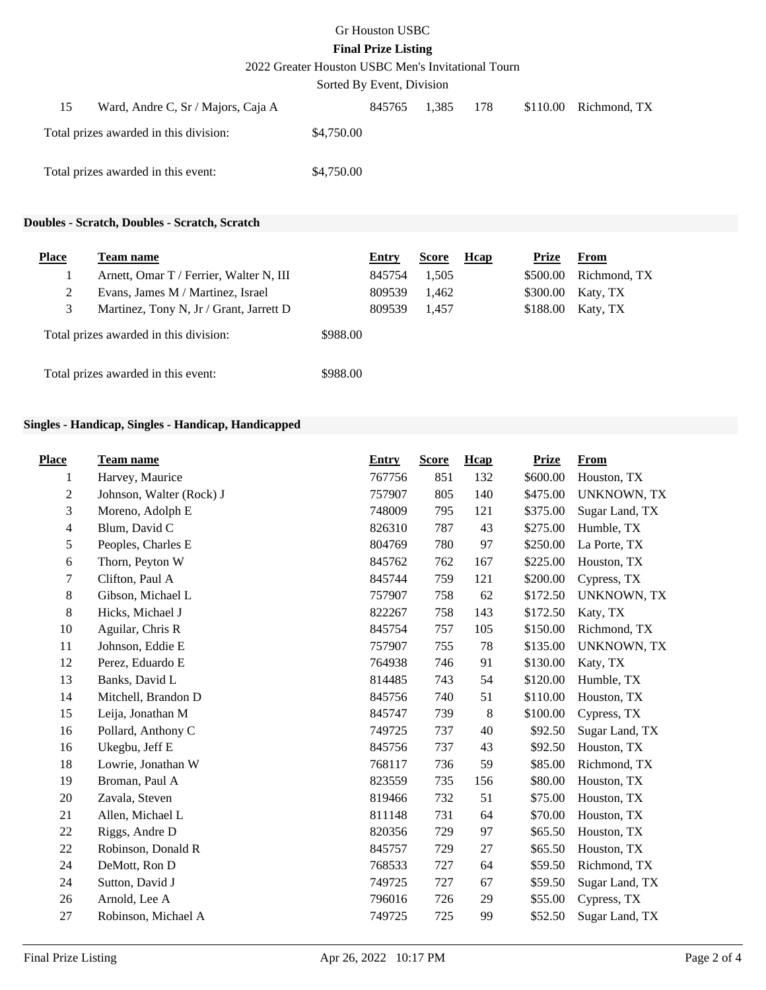# Gr Houston USBC

# **Final Prize Listing**

2022 Greater Houston USBC Men's Invitational Tourn

Sorted By Event, Division

| 15 | Ward, Andre C, Sr / Majors, Caja A     |            | 845765 | 1.385 | 178 | $$110.00$ Richmond, TX |
|----|----------------------------------------|------------|--------|-------|-----|------------------------|
|    | Total prizes awarded in this division: | \$4,750.00 |        |       |     |                        |
|    | Total prizes awarded in this event:    | \$4,750.00 |        |       |     |                        |

### **Doubles - Scratch, Doubles - Scratch, Scratch**

| <b>Place</b> | Team name                               |          | Entry  | <b>Score</b> | Hcap | Prize    | From         |
|--------------|-----------------------------------------|----------|--------|--------------|------|----------|--------------|
|              | Arnett, Omar T / Ferrier, Walter N, III |          | 845754 | 1,505        |      | \$500.00 | Richmond, TX |
| 2            | Evans, James M / Martinez, Israel       |          | 809539 | 1,462        |      | \$300.00 | Katy, TX     |
| 3            | Martinez, Tony N, Jr / Grant, Jarrett D |          | 809539 | 1.457        |      | \$188.00 | Katy, TX     |
|              | Total prizes awarded in this division:  | \$988.00 |        |              |      |          |              |
|              | Total prizes awarded in this event:     | \$988.00 |        |              |      |          |              |

## **Singles - Handicap, Singles - Handicap, Handicapped**

| <b>Place</b>     | <b>Team name</b>         | <b>Entry</b> | <b>Score</b> | Hcap | <b>Prize</b> | <b>From</b>        |
|------------------|--------------------------|--------------|--------------|------|--------------|--------------------|
| 1                | Harvey, Maurice          | 767756       | 851          | 132  | \$600.00     | Houston, TX        |
| $\boldsymbol{2}$ | Johnson, Walter (Rock) J | 757907       | 805          | 140  | \$475.00     | <b>UNKNOWN, TX</b> |
| 3                | Moreno, Adolph E         | 748009       | 795          | 121  | \$375.00     | Sugar Land, TX     |
| 4                | Blum, David C            | 826310       | 787          | 43   | \$275.00     | Humble, TX         |
| 5                | Peoples, Charles E       | 804769       | 780          | 97   | \$250.00     | La Porte, TX       |
| 6                | Thorn, Peyton W          | 845762       | 762          | 167  | \$225.00     | Houston, TX        |
| 7                | Clifton, Paul A          | 845744       | 759          | 121  | \$200.00     | Cypress, TX        |
| 8                | Gibson, Michael L        | 757907       | 758          | 62   | \$172.50     | <b>UNKNOWN, TX</b> |
| 8                | Hicks, Michael J         | 822267       | 758          | 143  | \$172.50     | Katy, TX           |
| 10               | Aguilar, Chris R         | 845754       | 757          | 105  | \$150.00     | Richmond, TX       |
| 11               | Johnson, Eddie E         | 757907       | 755          | 78   | \$135.00     | <b>UNKNOWN, TX</b> |
| 12               | Perez, Eduardo E         | 764938       | 746          | 91   | \$130.00     | Katy, TX           |
| 13               | Banks, David L           | 814485       | 743          | 54   | \$120.00     | Humble, TX         |
| 14               | Mitchell, Brandon D      | 845756       | 740          | 51   | \$110.00     | Houston, TX        |
| 15               | Leija, Jonathan M        | 845747       | 739          | 8    | \$100.00     | Cypress, TX        |
| 16               | Pollard, Anthony C       | 749725       | 737          | 40   | \$92.50      | Sugar Land, TX     |
| 16               | Ukegbu, Jeff E           | 845756       | 737          | 43   | \$92.50      | Houston, TX        |
| 18               | Lowrie, Jonathan W       | 768117       | 736          | 59   | \$85.00      | Richmond, TX       |
| 19               | Broman, Paul A           | 823559       | 735          | 156  | \$80.00      | Houston, TX        |
| 20               | Zavala, Steven           | 819466       | 732          | 51   | \$75.00      | Houston, TX        |
| 21               | Allen, Michael L         | 811148       | 731          | 64   | \$70.00      | Houston, TX        |
| 22               | Riggs, Andre D           | 820356       | 729          | 97   | \$65.50      | Houston, TX        |
| 22               | Robinson, Donald R       | 845757       | 729          | 27   | \$65.50      | Houston, TX        |
| 24               | DeMott, Ron D            | 768533       | 727          | 64   | \$59.50      | Richmond, TX       |
| 24               | Sutton, David J          | 749725       | 727          | 67   | \$59.50      | Sugar Land, TX     |
| 26               | Arnold, Lee A            | 796016       | 726          | 29   | \$55.00      | Cypress, TX        |
| 27               | Robinson, Michael A      | 749725       | 725          | 99   | \$52.50      | Sugar Land, TX     |
|                  |                          |              |              |      |              |                    |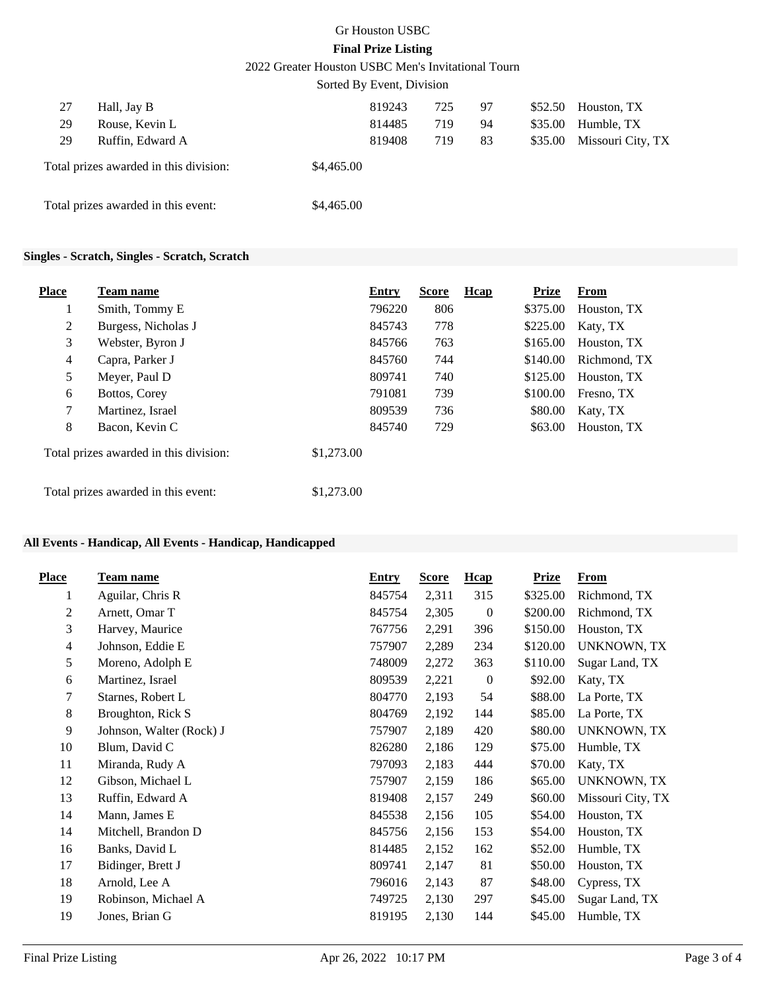### Gr Houston USBC **Final Prize Listing**

2022 Greater Houston USBC Men's Invitational Tourn

|    |                                        | Sorted By Event, Division |        |     |    |         |                   |
|----|----------------------------------------|---------------------------|--------|-----|----|---------|-------------------|
| 27 | Hall, Jay B                            |                           | 819243 | 725 | 97 | \$52.50 | Houston, TX       |
| 29 | Rouse, Kevin L                         |                           | 814485 | 719 | 94 | \$35.00 | Humble, TX        |
| 29 | Ruffin, Edward A                       |                           | 819408 | 719 | 83 | \$35.00 | Missouri City, TX |
|    | Total prizes awarded in this division: | \$4,465.00                |        |     |    |         |                   |
|    | Total prizes awarded in this event:    | \$4,465.00                |        |     |    |         |                   |

### **Singles - Scratch, Singles - Scratch, Scratch**

| <b>Place</b> | <b>Team name</b>                       |            | Entry  | <b>Score</b> | <b>H</b> cap | <b>Prize</b> | <b>From</b>  |
|--------------|----------------------------------------|------------|--------|--------------|--------------|--------------|--------------|
| $\bf{1}$     | Smith, Tommy E                         |            | 796220 | 806          |              | \$375.00     | Houston, TX  |
| 2            | Burgess, Nicholas J                    |            | 845743 | 778          |              | \$225.00     | Katy, TX     |
| 3            | Webster, Byron J                       |            | 845766 | 763          |              | \$165.00     | Houston, TX  |
| 4            | Capra, Parker J                        |            | 845760 | 744          |              | \$140.00     | Richmond, TX |
| 5            | Meyer, Paul D                          |            | 809741 | 740          |              | \$125.00     | Houston, TX  |
| 6            | Bottos, Corey                          |            | 791081 | 739          |              | \$100.00     | Fresno, TX   |
| 7            | Martinez, Israel                       |            | 809539 | 736          |              | \$80.00      | Katy, TX     |
| 8            | Bacon, Kevin C                         |            | 845740 | 729          |              | \$63.00      | Houston, TX  |
|              | Total prizes awarded in this division: | \$1,273.00 |        |              |              |              |              |
|              | Total prizes awarded in this event:    | \$1,273.00 |        |              |              |              |              |

#### **All Events - Handicap, All Events - Handicap, Handicapped**

| <b>Place</b>   | Team name                | <b>Entry</b> | <b>Score</b> | <b>H</b> cap     | <b>Prize</b> | <b>From</b>        |
|----------------|--------------------------|--------------|--------------|------------------|--------------|--------------------|
| 1              | Aguilar, Chris R         | 845754       | 2,311        | 315              | \$325.00     | Richmond, TX       |
| $\overline{c}$ | Arnett, Omar T           | 845754       | 2,305        | $\mathbf{0}$     | \$200.00     | Richmond, TX       |
| 3              | Harvey, Maurice          | 767756       | 2,291        | 396              | \$150.00     | Houston, TX        |
| $\overline{4}$ | Johnson, Eddie E         | 757907       | 2,289        | 234              | \$120.00     | <b>UNKNOWN, TX</b> |
| 5              | Moreno, Adolph E         | 748009       | 2,272        | 363              | \$110.00     | Sugar Land, TX     |
| 6              | Martinez, Israel         | 809539       | 2,221        | $\boldsymbol{0}$ | \$92.00      | Katy, TX           |
| 7              | Starnes, Robert L        | 804770       | 2,193        | 54               | \$88.00      | La Porte, TX       |
| 8              | Broughton, Rick S        | 804769       | 2,192        | 144              | \$85.00      | La Porte, TX       |
| 9              | Johnson, Walter (Rock) J | 757907       | 2,189        | 420              | \$80.00      | <b>UNKNOWN, TX</b> |
| 10             | Blum, David C            | 826280       | 2,186        | 129              | \$75.00      | Humble, TX         |
| 11             | Miranda, Rudy A          | 797093       | 2,183        | 444              | \$70.00      | Katy, TX           |
| 12             | Gibson, Michael L        | 757907       | 2,159        | 186              | \$65.00      | <b>UNKNOWN, TX</b> |
| 13             | Ruffin, Edward A         | 819408       | 2,157        | 249              | \$60.00      | Missouri City, TX  |
| 14             | Mann, James E            | 845538       | 2,156        | 105              | \$54.00      | Houston, TX        |
| 14             | Mitchell, Brandon D      | 845756       | 2,156        | 153              | \$54.00      | Houston, TX        |
| 16             | Banks, David L           | 814485       | 2,152        | 162              | \$52.00      | Humble, TX         |
| 17             | Bidinger, Brett J        | 809741       | 2,147        | 81               | \$50.00      | Houston, TX        |
| 18             | Arnold, Lee A            | 796016       | 2,143        | 87               | \$48.00      | Cypress, TX        |
| 19             | Robinson, Michael A      | 749725       | 2,130        | 297              | \$45.00      | Sugar Land, TX     |
| 19             | Jones, Brian G           | 819195       | 2,130        | 144              | \$45.00      | Humble, TX         |
|                |                          |              |              |                  |              |                    |